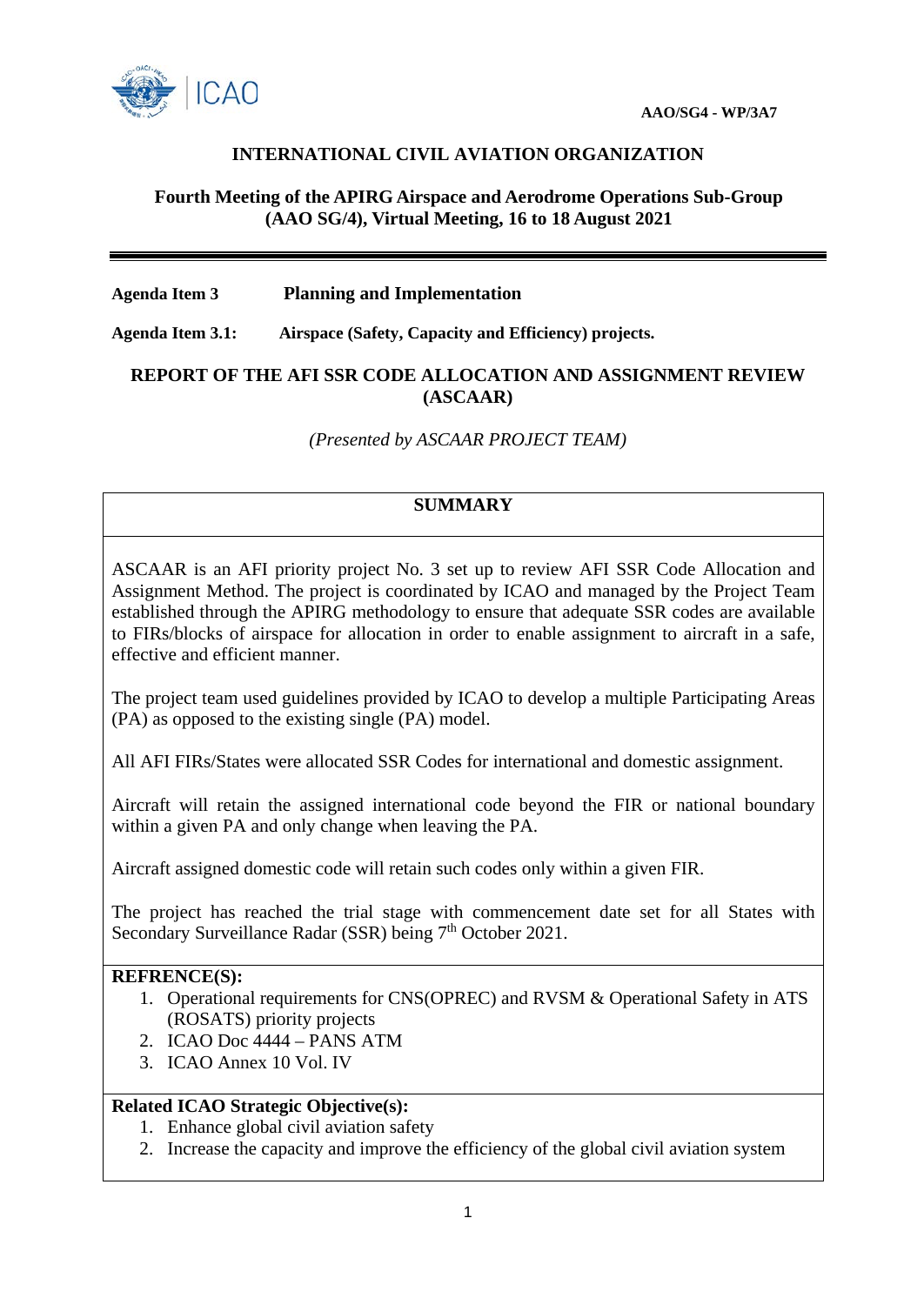

## **INTERNATIONAL CIVIL AVIATION ORGANIZATION**

#### **Fourth Meeting of the APIRG Airspace and Aerodrome Operations Sub-Group (AAO SG/4), Virtual Meeting, 16 to 18 August 2021**

#### **Agenda Item 3 Planning and Implementation**

**Agenda Item 3.1: Airspace (Safety, Capacity and Efficiency) projects.**

#### **REPORT OF THE AFI SSR CODE ALLOCATION AND ASSIGNMENT REVIEW (ASCAAR)**

*(Presented by ASCAAR PROJECT TEAM)*

# **SUMMARY**

ASCAAR is an AFI priority project No. 3 set up to review AFI SSR Code Allocation and Assignment Method. The project is coordinated by ICAO and managed by the Project Team established through the APIRG methodology to ensure that adequate SSR codes are available to FIRs/blocks of airspace for allocation in order to enable assignment to aircraft in a safe, effective and efficient manner.

The project team used guidelines provided by ICAO to develop a multiple Participating Areas (PA) as opposed to the existing single (PA) model.

All AFI FIRs/States were allocated SSR Codes for international and domestic assignment.

Aircraft will retain the assigned international code beyond the FIR or national boundary within a given PA and only change when leaving the PA.

Aircraft assigned domestic code will retain such codes only within a given FIR.

The project has reached the trial stage with commencement date set for all States with Secondary Surveillance Radar (SSR) being 7<sup>th</sup> October 2021.

#### **REFRENCE(S):**

- 1. Operational requirements for CNS(OPREC) and RVSM & Operational Safety in ATS (ROSATS) priority projects
- 2. ICAO Doc 4444 PANS ATM
- 3. ICAO Annex 10 Vol. IV

# **Related ICAO Strategic Objective(s):**

- 1. Enhance global civil aviation safety
- 2. Increase the capacity and improve the efficiency of the global civil aviation system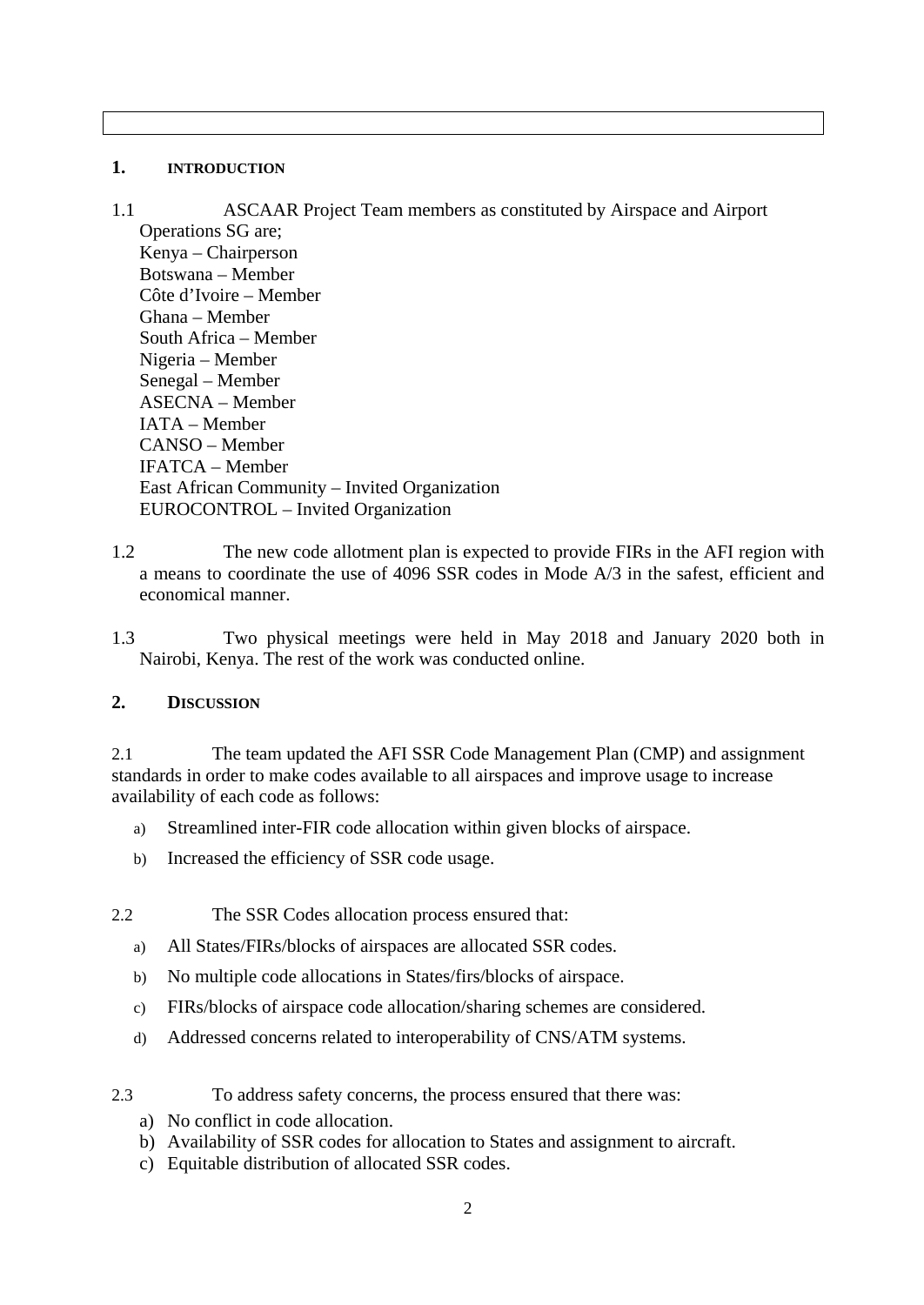## **1. INTRODUCTION**

1.1 ASCAAR Project Team members as constituted by Airspace and Airport Operations SG are; Kenya – Chairperson Botswana – Member Côte d'Ivoire – Member Ghana – Member South Africa – Member Nigeria – Member Senegal – Member ASECNA – Member IATA – Member CANSO – Member IFATCA – Member East African Community – Invited Organization EUROCONTROL – Invited Organization

- 1.2 The new code allotment plan is expected to provide FIRs in the AFI region with a means to coordinate the use of 4096 SSR codes in Mode A/3 in the safest, efficient and economical manner.
- 1.3 Two physical meetings were held in May 2018 and January 2020 both in Nairobi, Kenya. The rest of the work was conducted online.

# **2. DISCUSSION**

2.1 The team updated the AFI SSR Code Management Plan (CMP) and assignment standards in order to make codes available to all airspaces and improve usage to increase availability of each code as follows:

- a) Streamlined inter-FIR code allocation within given blocks of airspace.
- b) Increased the efficiency of SSR code usage.
- 2.2 The SSR Codes allocation process ensured that:
	- a) All States/FIRs/blocks of airspaces are allocated SSR codes.
	- b) No multiple code allocations in States/firs/blocks of airspace.
	- c) FIRs/blocks of airspace code allocation/sharing schemes are considered.
	- d) Addressed concerns related to interoperability of CNS/ATM systems.

# 2.3 To address safety concerns, the process ensured that there was:

- a) No conflict in code allocation.
- b) Availability of SSR codes for allocation to States and assignment to aircraft.
- c) Equitable distribution of allocated SSR codes.